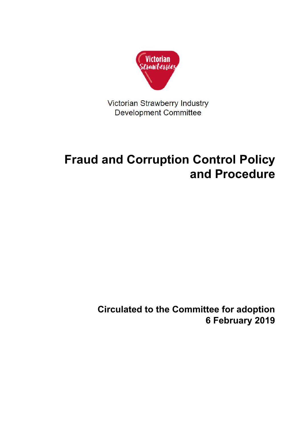

Victorian Strawberry Industry **Development Committee** 

# **Fraud and Corruption Control Policy and Procedure**

**Circulated to the Committee for adoption 6 February 2019**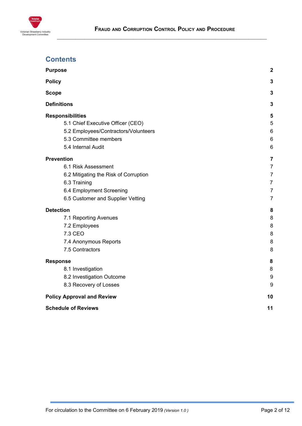

# **Contents**

| <b>Purpose</b>                        | $\overline{2}$  |
|---------------------------------------|-----------------|
| <b>Policy</b>                         | 3               |
| <b>Scope</b>                          | 3               |
| <b>Definitions</b>                    | 3               |
| <b>Responsibilities</b>               | 5               |
| 5.1 Chief Executive Officer (CEO)     | 5               |
| 5.2 Employees/Contractors/Volunteers  | $6\phantom{1}6$ |
| 5.3 Committee members                 | $6\phantom{1}6$ |
| 5.4 Internal Audit                    | $6\phantom{1}6$ |
| <b>Prevention</b>                     | $\overline{7}$  |
| 6.1 Risk Assessment                   | $\overline{7}$  |
| 6.2 Mitigating the Risk of Corruption | $\overline{7}$  |
| 6.3 Training                          | $\overline{7}$  |
| 6.4 Employment Screening              | $\overline{7}$  |
| 6.5 Customer and Supplier Vetting     | $\overline{7}$  |
| <b>Detection</b>                      | 8               |
| 7.1 Reporting Avenues                 | 8               |
| 7.2 Employees                         | 8               |
| 7.3 CEO                               | 8               |
| 7.4 Anonymous Reports                 | 8               |
| 7.5 Contractors                       | 8               |
| <b>Response</b>                       | 8               |
| 8.1 Investigation                     | 8               |
| 8.2 Investigation Outcome             | 9               |
| 8.3 Recovery of Losses                | 9               |
| <b>Policy Approval and Review</b>     | 10              |
| <b>Schedule of Reviews</b>            | 11              |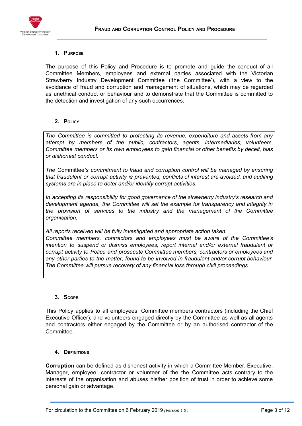



#### <span id="page-2-0"></span>**1. PURPOSE**

The purpose of this Policy and Procedure is to promote and guide the conduct of all Committee Members, employees and external parties associated with the Victorian Strawberry Industry Development Committee ('the Committee'), with a view to the avoidance of fraud and corruption and management of situations, which may be regarded as unethical conduct or behaviour and to demonstrate that the Committee is committed to the detection and investigation of any such occurrences.

### <span id="page-2-1"></span>**2. POLICY**

*The Committee is committed to protecting its revenue, expenditure and assets from any attempt by members of the public, contractors, agents, intermediaries, volunteers, Committee members or its own employees to gain financial or other benefits by deceit, bias or dishonest conduct.*

*The* Committee*'s commitment to fraud and corruption control will be managed by ensuring that fraudulent or corrupt activity is prevented, conflicts of interest are avoided, and auditing systems are in place to deter and/or identify corrupt activities.*

*In accepting its responsibility for good governance of the strawberry industry's research and development agenda, the Committee will set the example for transparency and integrity in the provision of services to the industry and the management of the Committee organisation.*

*All reports received will be fully investigated and appropriate action taken. Committee members, contractors and employees must be aware of the Committee's intention to suspend or dismiss employees, report internal and/or external fraudulent or corrupt activity to Police and prosecute Committee members, contractors or employees and any other parties to the matter, found to be involved in fraudulent and/or corrupt behaviour. The Committee will pursue recovery of any financial loss through civil proceedings.*

#### <span id="page-2-2"></span>**3. SCOPE**

This Policy applies to all employees, Committee members contractors (including the Chief Executive Officer), and volunteers engaged directly by the Committee as well as all agents and contractors either engaged by the Committee or by an authorised contractor of the Committee.

#### <span id="page-2-3"></span>**4. DEFINITIONS**

**Corruption** can be defined as dishonest activity in which a Committee Member, Executive, Manager, employee, contractor or volunteer of the the Committee acts contrary to the interests of the organisation and abuses his/her position of trust in order to achieve some personal gain or advantage.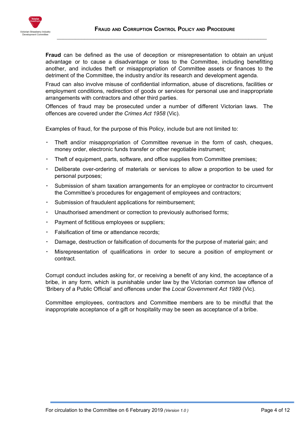

**Fraud** can be defined as the use of deception or misrepresentation to obtain an unjust advantage or to cause a disadvantage or loss to the Committee, including benefitting another, and includes theft or misappropriation of Committee assets or finances to the detriment of the Committee, the industry and/or its research and development agenda.

Fraud can also involve misuse of confidential information, abuse of discretions, facilities or employment conditions, redirection of goods or services for personal use and inappropriate arrangements with contractors and other third parties.

Offences of fraud may be prosecuted under a number of different Victorian laws. The offences are covered under *the Crimes Act 1958* (Vic).

Examples of fraud, for the purpose of this Policy, include but are not limited to:

- Theft and/or misappropriation of Committee revenue in the form of cash, cheques, money order, electronic funds transfer or other negotiable instrument;
- Theft of equipment, parts, software, and office supplies from Committee premises;
- Deliberate over-ordering of materials or services to allow a proportion to be used for personal purposes;
- Submission of sham taxation arrangements for an employee or contractor to circumvent the Committee's procedures for engagement of employees and contractors;
- Submission of fraudulent applications for reimbursement;
- Unauthorised amendment or correction to previously authorised forms;
- Payment of fictitious employees or suppliers;
- Falsification of time or attendance records;
- Damage, destruction or falsification of documents for the purpose of material gain; and
- Misrepresentation of qualifications in order to secure a position of employment or contract.

Corrupt conduct includes asking for, or receiving a benefit of any kind, the acceptance of a bribe, in any form, which is punishable under law by the Victorian common law offence of 'Bribery of a Public Official' and offences under the *Local Government Act 1989* (Vic).

Committee employees, contractors and Committee members are to be mindful that the inappropriate acceptance of a gift or hospitality may be seen as acceptance of a bribe.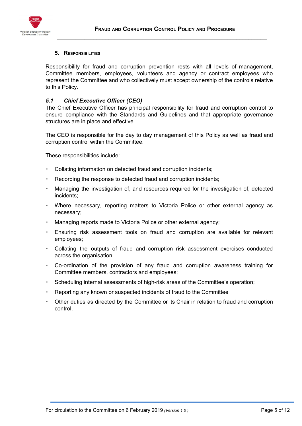

#### <span id="page-4-0"></span>**5. RESPONSIBILITIES**

Responsibility for fraud and corruption prevention rests with all levels of management, Committee members, employees, volunteers and agency or contract employees who represent the Committee and who collectively must accept ownership of the controls relative to this Policy.

#### <span id="page-4-1"></span>*5.1 Chief Executive Officer (CEO)*

The Chief Executive Officer has principal responsibility for fraud and corruption control to ensure compliance with the Standards and Guidelines and that appropriate governance structures are in place and effective.

The CEO is responsible for the day to day management of this Policy as well as fraud and corruption control within the Committee.

These responsibilities include:

- Collating information on detected fraud and corruption incidents;
- Recording the response to detected fraud and corruption incidents;
- Managing the investigation of, and resources required for the investigation of, detected incidents;
- Where necessary, reporting matters to Victoria Police or other external agency as necessary;
- Managing reports made to Victoria Police or other external agency;
- Ensuring risk assessment tools on fraud and corruption are available for relevant employees;
- Collating the outputs of fraud and corruption risk assessment exercises conducted across the organisation;
- Co-ordination of the provision of any fraud and corruption awareness training for Committee members, contractors and employees;
- Scheduling internal assessments of high-risk areas of the Committee's operation;
- Reporting any known or suspected incidents of fraud to the Committee
- Other duties as directed by the Committee or its Chair in relation to fraud and corruption control.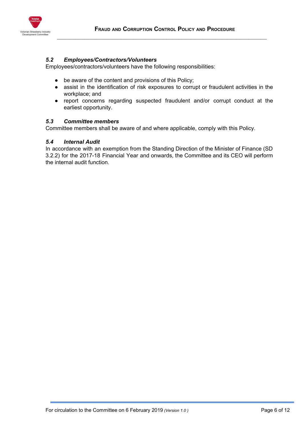

#### <span id="page-5-0"></span>*5.2 Employees/Contractors/Volunteers*

Employees/contractors/volunteers have the following responsibilities:

- be aware of the content and provisions of this Policy;
- assist in the identification of risk exposures to corrupt or fraudulent activities in the workplace; and
- report concerns regarding suspected fraudulent and/or corrupt conduct at the earliest opportunity.

#### <span id="page-5-1"></span>*5.3 Committee members*

Committee members shall be aware of and where applicable, comply with this Policy.

#### <span id="page-5-2"></span>*5.4 Internal Audit*

In accordance with an exemption from the Standing Direction of the Minister of Finance (SD 3.2.2) for the 2017-18 Financial Year and onwards, the Committee and its CEO will perform the internal audit function.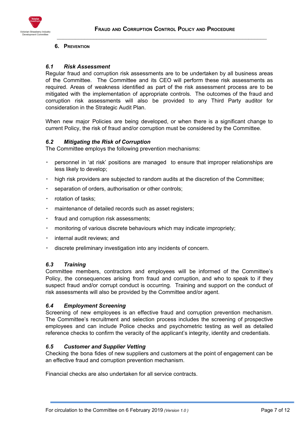

#### <span id="page-6-0"></span>**6. PREVENTION**

#### <span id="page-6-1"></span>*6.1 Risk Assessment*

Regular fraud and corruption risk assessments are to be undertaken by all business areas of the Committee. The Committee and its CEO will perform these risk assessments as required. Areas of weakness identified as part of the risk assessment process are to be mitigated with the implementation of appropriate controls. The outcomes of the fraud and corruption risk assessments will also be provided to any Third Party auditor for consideration in the Strategic Audit Plan.

When new major Policies are being developed, or when there is a significant change to current Policy, the risk of fraud and/or corruption must be considered by the Committee.

#### <span id="page-6-2"></span>*6.2 Mitigating the Risk of Corruption*

The Committee employs the following prevention mechanisms:

- personnel in 'at risk' positions are managed to ensure that improper relationships are less likely to develop;
- high risk providers are subjected to random audits at the discretion of the Committee;
- separation of orders, authorisation or other controls;
- rotation of tasks;
- maintenance of detailed records such as asset registers;
- fraud and corruption risk assessments;
- monitoring of various discrete behaviours which may indicate impropriety;
- internal audit reviews; and
- discrete preliminary investigation into any incidents of concern.

#### <span id="page-6-3"></span>*6.3 Training*

Committee members, contractors and employees will be informed of the Committee's Policy, the consequences arising from fraud and corruption, and who to speak to if they suspect fraud and/or corrupt conduct is occurring. Training and support on the conduct of risk assessments will also be provided by the Committee and/or agent.

#### <span id="page-6-4"></span>*6.4 Employment Screening*

Screening of new employees is an effective fraud and corruption prevention mechanism. The Committee's recruitment and selection process includes the screening of prospective employees and can include Police checks and psychometric testing as well as detailed reference checks to confirm the veracity of the applicant's integrity, identity and credentials.

#### <span id="page-6-5"></span>*6.5 Customer and Supplier Vetting*

Checking the bona fides of new suppliers and customers at the point of engagement can be an effective fraud and corruption prevention mechanism.

Financial checks are also undertaken for all service contracts.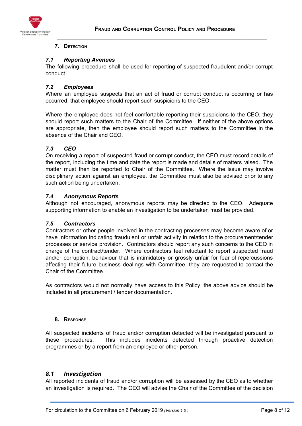

#### <span id="page-7-0"></span>**7. DETECTION**

#### <span id="page-7-1"></span>*7.1 Reporting Avenues*

The following procedure shall be used for reporting of suspected fraudulent and/or corrupt conduct.

## <span id="page-7-2"></span>*7.2 Employees*

Where an employee suspects that an act of fraud or corrupt conduct is occurring or has occurred, that employee should report such suspicions to the CEO.

Where the employee does not feel comfortable reporting their suspicions to the CEO, they should report such matters to the Chair of the Committee. If neither of the above options are appropriate, then the employee should report such matters to the Committee in the absence of the Chair and CEO.

### <span id="page-7-3"></span>*7.3 CEO*

On receiving a report of suspected fraud or corrupt conduct, the CEO must record details of the report, including the time and date the report is made and details of matters raised. The matter must then be reported to Chair of the Committee. Where the issue may involve disciplinary action against an employee, the Committee must also be advised prior to any such action being undertaken.

#### <span id="page-7-4"></span>*7.4 Anonymous Reports*

Although not encouraged, anonymous reports may be directed to the CEO. Adequate supporting information to enable an investigation to be undertaken must be provided.

#### <span id="page-7-5"></span>*7.5 Contractors*

Contractors or other people involved in the contracting processes may become aware of or have information indicating fraudulent or unfair activity in relation to the procurement/tender processes or service provision. Contractors should report any such concerns to the CEO in charge of the contract/tender. Where contractors feel reluctant to report suspected fraud and/or corruption, behaviour that is intimidatory or grossly unfair for fear of repercussions affecting their future business dealings with Committee, they are requested to contact the Chair of the Committee.

As contractors would not normally have access to this Policy, the above advice should be included in all procurement / tender documentation.

#### <span id="page-7-6"></span>**8. RESPONSE**

All suspected incidents of fraud and/or corruption detected will be investigated pursuant to these procedures. This includes incidents detected through proactive detection programmes or by a report from an employee or other person.

# <span id="page-7-7"></span>*8.1 Investigation*

All reported incidents of fraud and/or corruption will be assessed by the CEO as to whether an investigation is required. The CEO will advise the Chair of the Committee of the decision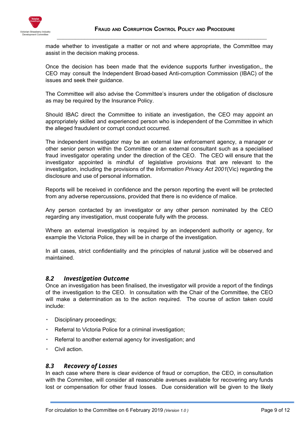

made whether to investigate a matter or not and where appropriate, the Committee may assist in the decision making process.

 $\_$  , and the contribution of the contribution of  $\mathcal{L}_\mathcal{A}$  , and the contribution of  $\mathcal{L}_\mathcal{A}$ 

Once the decision has been made that the evidence supports further investigation,, the CEO may consult the Independent Broad-based Anti-corruption Commission (IBAC) of the issues and seek their guidance.

The Committee will also advise the Committee's insurers under the obligation of disclosure as may be required by the Insurance Policy.

Should IBAC direct the Committee to initiate an investigation, the CEO may appoint an appropriately skilled and experienced person who is independent of the Committee in which the alleged fraudulent or corrupt conduct occurred.

The independent investigator may be an external law enforcement agency, a manager or other senior person within the Committee or an external consultant such as a specialised fraud investigator operating under the direction of the CEO. The CEO will ensure that the investigator appointed is mindful of legislative provisions that are relevant to the investigation, including the provisions of the *Information Privacy Act 2001*(Vic) regarding the disclosure and use of personal information.

Reports will be received in confidence and the person reporting the event will be protected from any adverse repercussions, provided that there is no evidence of malice.

Any person contacted by an investigator or any other person nominated by the CEO regarding any investigation, must cooperate fully with the process.

Where an external investigation is required by an independent authority or agency, for example the Victoria Police, they will be in charge of the investigation.

In all cases, strict confidentiality and the principles of natural justice will be observed and maintained.

# <span id="page-8-0"></span>*8.2 Investigation Outcome*

Once an investigation has been finalised, the investigator will provide a report of the findings of the investigation to the CEO. In consultation with the Chair of the Committee, the CEO will make a determination as to the action required. The course of action taken could include:

- Disciplinary proceedings;
- Referral to Victoria Police for a criminal investigation;
- Referral to another external agency for investigation; and
- Civil action.

#### <span id="page-8-1"></span>*8.3 Recovery of Losses*

In each case where there is clear evidence of fraud or corruption, the CEO, in consultation with the Commitee, will consider all reasonable avenues available for recovering any funds lost or compensation for other fraud losses. Due consideration will be given to the likely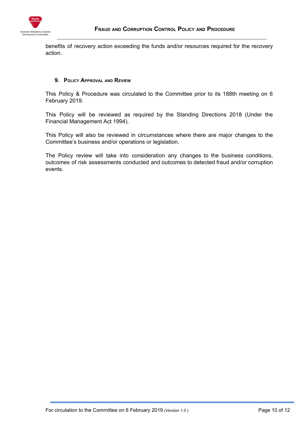

benefits of recovery action exceeding the funds and/or resources required for the recovery action.

 $\_$  , and the contribution of the contribution of  $\mathcal{L}_\mathcal{A}$  , and the contribution of  $\mathcal{L}_\mathcal{A}$ 

#### <span id="page-9-0"></span>**9. POLICY APPROVAL AND REVIEW**

This Policy & Procedure was circulated to the Committee prior to its 188th meeting on 6 February 2019.

This Policy will be reviewed as required by the Standing Directions 2018 (Under the Financial Management Act 1994).

This Policy will also be reviewed in circumstances where there are major changes to the Committee's business and/or operations or legislation.

The Policy review will take into consideration any changes to the business conditions, outcomes of risk assessments conducted and outcomes to detected fraud and/or corruption events.